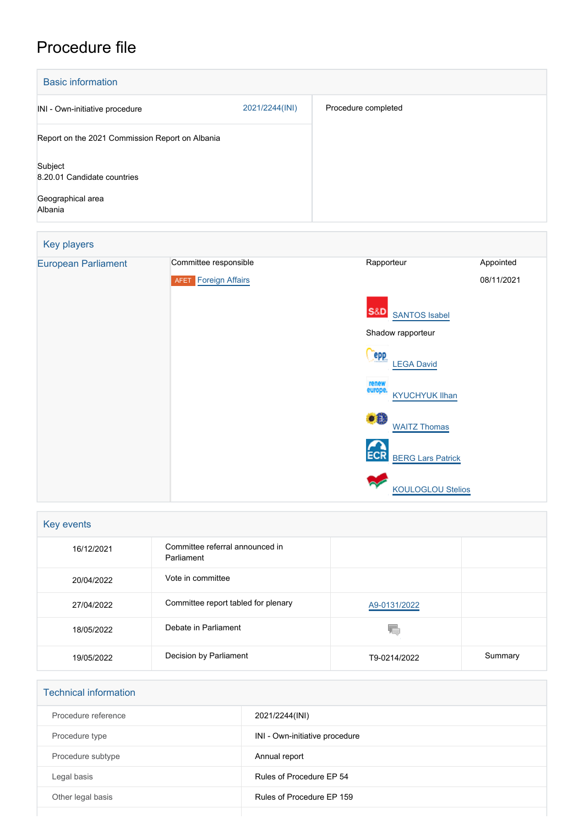## Procedure file

| <b>Basic information</b>                        |                |                     |
|-------------------------------------------------|----------------|---------------------|
| INI - Own-initiative procedure                  | 2021/2244(INI) | Procedure completed |
| Report on the 2021 Commission Report on Albania |                |                     |
| Subject<br>8.20.01 Candidate countries          |                |                     |
| Geographical area<br>Albania                    |                |                     |

# Key players [European Parliament](http://www.europarl.europa.eu/) Committee responsible Rapporteur Rapporteur Appointed **AFET** [Foreign Affairs](http://www.europarl.europa.eu/committees/en/afet/home.html) S&D [SANTOS Isabel](http://www.europarl.europa.eu/meps/en/197650) Shadow rapporteur **Cepp** [LEGA David](http://www.europarl.europa.eu/meps/en/197393) [KYUCHYUK Ilhan](http://www.europarl.europa.eu/meps/en/124866) **[WAITZ Thomas](http://www.europarl.europa.eu/meps/en/190464) ECR** [BERG Lars Patrick](http://www.europarl.europa.eu/meps/en/197478) [KOULOGLOU Stelios](http://www.europarl.europa.eu/meps/en/130833) 08/11/2021

| Key events |                                               |              |         |  |  |
|------------|-----------------------------------------------|--------------|---------|--|--|
| 16/12/2021 | Committee referral announced in<br>Parliament |              |         |  |  |
| 20/04/2022 | Vote in committee                             |              |         |  |  |
| 27/04/2022 | Committee report tabled for plenary           | A9-0131/2022 |         |  |  |
| 18/05/2022 | Debate in Parliament                          |              |         |  |  |
| 19/05/2022 | Decision by Parliament                        | T9-0214/2022 | Summary |  |  |

| <b>Technical information</b> |                                |
|------------------------------|--------------------------------|
| Procedure reference          | 2021/2244(INI)                 |
| Procedure type               | INI - Own-initiative procedure |
| Procedure subtype            | Annual report                  |
| Legal basis                  | Rules of Procedure EP 54       |
| Other legal basis            | Rules of Procedure EP 159      |
|                              |                                |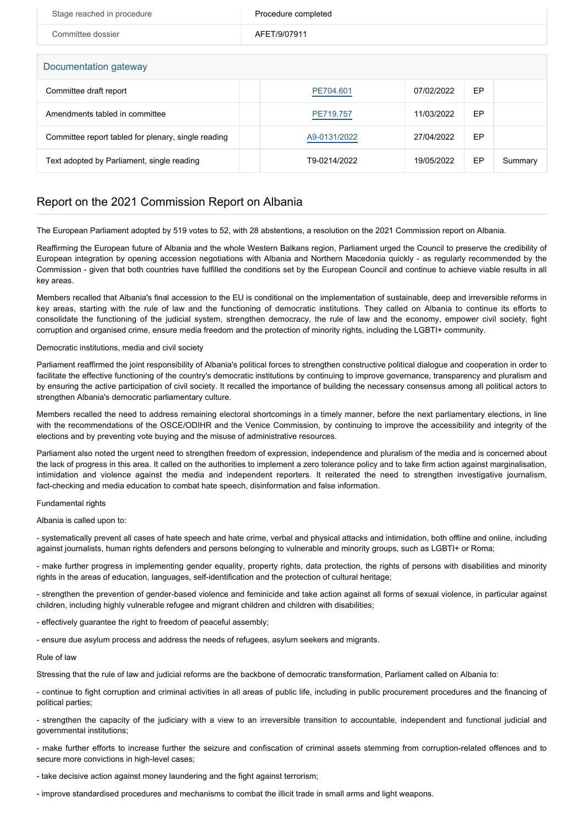| Stage reached in procedure                          | Procedure completed |            |    |         |  |  |  |
|-----------------------------------------------------|---------------------|------------|----|---------|--|--|--|
| Committee dossier                                   | AFET/9/07911        |            |    |         |  |  |  |
|                                                     |                     |            |    |         |  |  |  |
| Documentation gateway                               |                     |            |    |         |  |  |  |
| Committee draft report                              | PE704.601           | 07/02/2022 | EP |         |  |  |  |
| Amendments tabled in committee                      | PE719.757           | 11/03/2022 | EP |         |  |  |  |
| Committee report tabled for plenary, single reading | A9-0131/2022        | 27/04/2022 | EP |         |  |  |  |
| Text adopted by Parliament, single reading          | T9-0214/2022        | 19/05/2022 | EP | Summary |  |  |  |

### Report on the 2021 Commission Report on Albania

The European Parliament adopted by 519 votes to 52, with 28 abstentions, a resolution on the 2021 Commission report on Albania.

Reaffirming the European future of Albania and the whole Western Balkans region, Parliament urged the Council to preserve the credibility of European integration by opening accession negotiations with Albania and Northern Macedonia quickly - as regularly recommended by the Commission - given that both countries have fulfilled the conditions set by the European Council and continue to achieve viable results in all key areas.

Members recalled that Albania's final accession to the EU is conditional on the implementation of sustainable, deep and irreversible reforms in key areas, starting with the rule of law and the functioning of democratic institutions. They called on Albania to continue its efforts to consolidate the functioning of the judicial system, strengthen democracy, the rule of law and the economy, empower civil society, fight corruption and organised crime, ensure media freedom and the protection of minority rights, including the LGBTI+ community.

#### Democratic institutions, media and civil society

Parliament reaffirmed the joint responsibility of Albania's political forces to strengthen constructive political dialogue and cooperation in order to facilitate the effective functioning of the country's democratic institutions by continuing to improve governance, transparency and pluralism and by ensuring the active participation of civil society. It recalled the importance of building the necessary consensus among all political actors to strengthen Albania's democratic parliamentary culture.

Members recalled the need to address remaining electoral shortcomings in a timely manner, before the next parliamentary elections, in line with the recommendations of the OSCE/ODIHR and the Venice Commission, by continuing to improve the accessibility and integrity of the elections and by preventing vote buying and the misuse of administrative resources.

Parliament also noted the urgent need to strengthen freedom of expression, independence and pluralism of the media and is concerned about the lack of progress in this area. It called on the authorities to implement a zero tolerance policy and to take firm action against marginalisation, intimidation and violence against the media and independent reporters. It reiterated the need to strengthen investigative journalism, fact-checking and media education to combat hate speech, disinformation and false information.

#### Fundamental rights

Albania is called upon to:

- systematically prevent all cases of hate speech and hate crime, verbal and physical attacks and intimidation, both offline and online, including against journalists, human rights defenders and persons belonging to vulnerable and minority groups, such as LGBTI+ or Roma;

- make further progress in implementing gender equality, property rights, data protection, the rights of persons with disabilities and minority rights in the areas of education, languages, self-identification and the protection of cultural heritage;

- strengthen the prevention of gender-based violence and feminicide and take action against all forms of sexual violence, in particular against children, including highly vulnerable refugee and migrant children and children with disabilities;

- effectively guarantee the right to freedom of peaceful assembly;

- ensure due asylum process and address the needs of refugees, asylum seekers and migrants.

#### Rule of law

Stressing that the rule of law and judicial reforms are the backbone of democratic transformation, Parliament called on Albania to:

- continue to fight corruption and criminal activities in all areas of public life, including in public procurement procedures and the financing of political parties;

- strengthen the capacity of the judiciary with a view to an irreversible transition to accountable, independent and functional judicial and governmental institutions;

- make further efforts to increase further the seizure and confiscation of criminal assets stemming from corruption-related offences and to secure more convictions in high-level cases;

- take decisive action against money laundering and the fight against terrorism;

- improve standardised procedures and mechanisms to combat the illicit trade in small arms and light weapons.